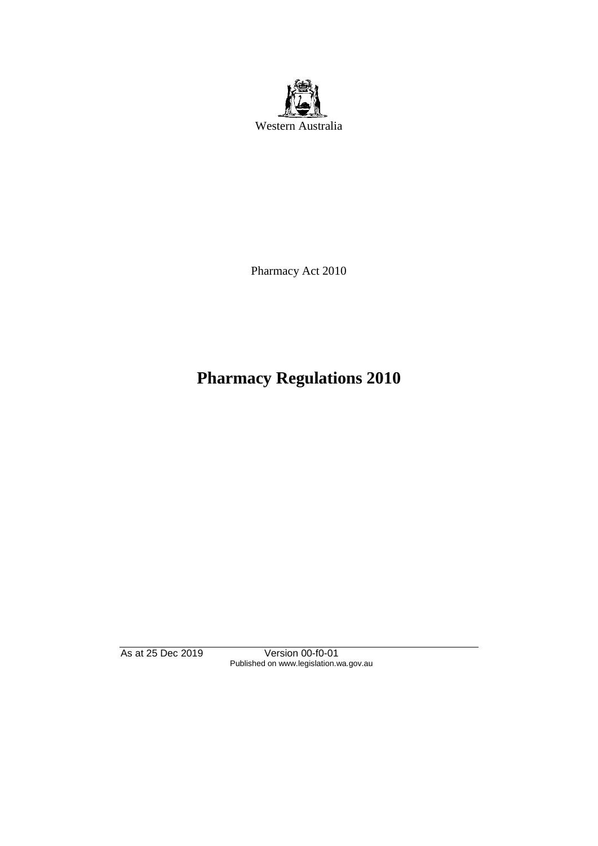

Pharmacy Act 2010

# **Pharmacy Regulations 2010**

As at 25 Dec 2019 Version 00-f0-01 Published on www.legislation.wa.gov.au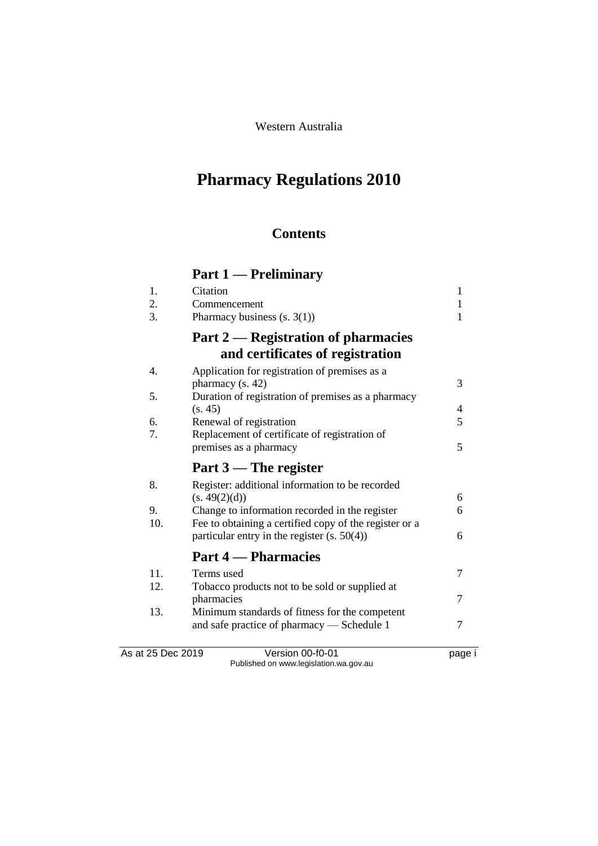Western Australia

# **Pharmacy Regulations 2010**

## **Contents**

# **Part 1 — Preliminary**

| 1.  | Citation                                                                                                 | $\mathbf{1}$ |
|-----|----------------------------------------------------------------------------------------------------------|--------------|
| 2.  | Commencement                                                                                             | 1            |
| 3.  | Pharmacy business $(s. 3(1))$                                                                            | 1            |
|     | Part 2 — Registration of pharmacies                                                                      |              |
|     | and certificates of registration                                                                         |              |
| 4.  | Application for registration of premises as a<br>pharmacy $(s. 42)$                                      | 3            |
| 5.  | Duration of registration of premises as a pharmacy                                                       |              |
|     | (s. 45)                                                                                                  | 4            |
| 6.  | Renewal of registration                                                                                  | 5            |
| 7.  | Replacement of certificate of registration of                                                            |              |
|     | premises as a pharmacy                                                                                   | 5            |
|     | Part $3$ — The register                                                                                  |              |
| 8.  | Register: additional information to be recorded                                                          |              |
| 9.  | (s. 49(2)(d))                                                                                            | 6<br>6       |
| 10. | Change to information recorded in the register<br>Fee to obtaining a certified copy of the register or a |              |
|     | particular entry in the register $(s. 50(4))$                                                            | 6            |
|     | <b>Part 4 – Pharmacies</b>                                                                               |              |
| 11. | Terms used                                                                                               | 7            |
| 12. | Tobacco products not to be sold or supplied at                                                           |              |
|     | pharmacies                                                                                               | 7            |
| 13. | Minimum standards of fitness for the competent                                                           |              |
|     | and safe practice of pharmacy — Schedule 1                                                               | 7            |
|     | $\sim$ $\sim$ $\sim$                                                                                     |              |

As at 25 Dec 2019 Version 00-f0-01 page i Published on www.legislation.wa.gov.au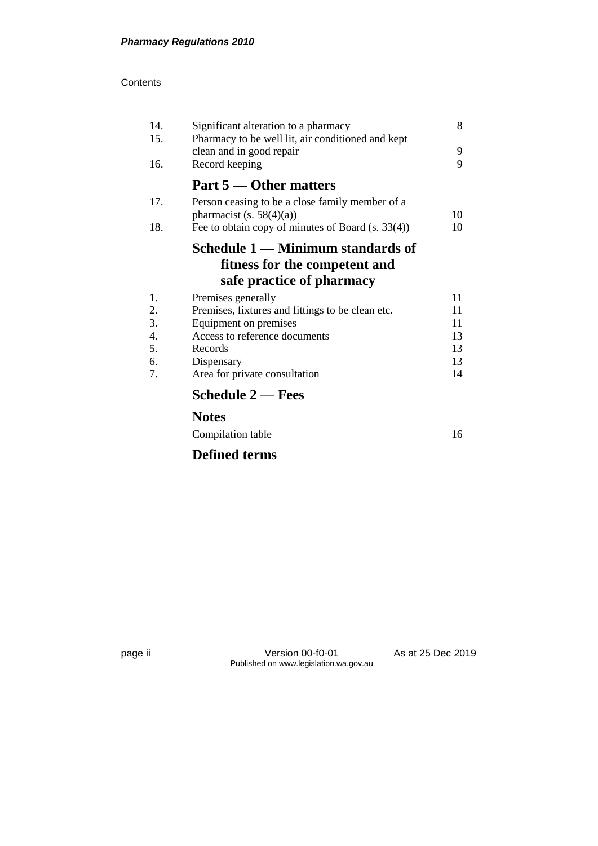#### **Contents**

| 14. | Significant alteration to a pharmacy              | 8  |
|-----|---------------------------------------------------|----|
| 15. | Pharmacy to be well lit, air conditioned and kept |    |
|     | clean and in good repair                          | 9  |
| 16. | Record keeping                                    | 9  |
|     | Part 5 — Other matters                            |    |
| 17. | Person ceasing to be a close family member of a   |    |
|     | pharmacist (s. $58(4)(a)$ )                       | 10 |
| 18. | Fee to obtain copy of minutes of Board (s. 33(4)) | 10 |
|     | Schedule 1 — Minimum standards of                 |    |
|     | fitness for the competent and                     |    |
|     | safe practice of pharmacy                         |    |
| 1.  | Premises generally                                | 11 |
| 2.  | Premises, fixtures and fittings to be clean etc.  | 11 |
| 3.  | Equipment on premises                             | 11 |
| 4.  | Access to reference documents                     | 13 |
| 5.  | Records                                           | 13 |
| 6.  | Dispensary                                        | 13 |
| 7.  | Area for private consultation                     | 14 |
|     | <b>Schedule 2 – Fees</b>                          |    |
|     | <b>Notes</b>                                      |    |
|     | Compilation table                                 | 16 |
|     | <b>Defined terms</b>                              |    |

page ii Version 00-f0-01 As at 25 Dec 2019 Published on www.legislation.wa.gov.au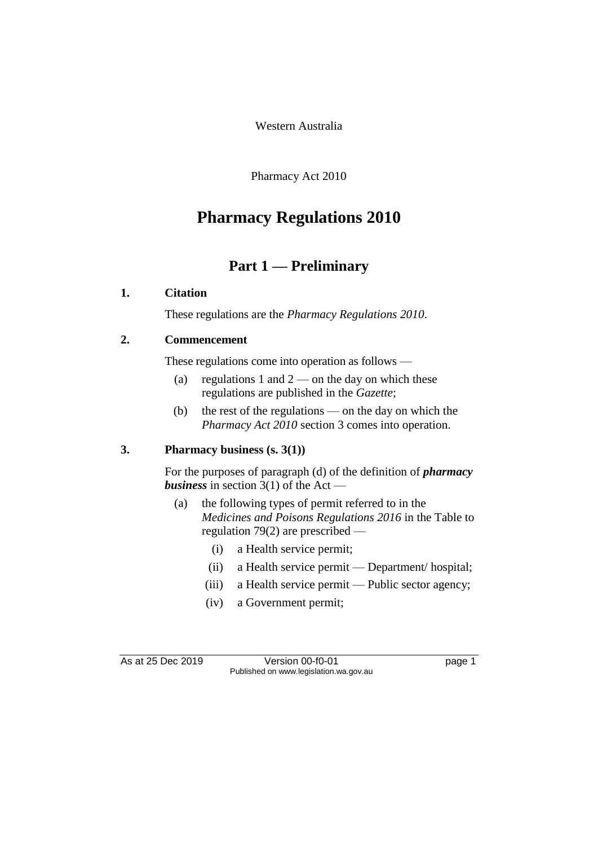Western Australia

Pharmacy Act 2010

# **Pharmacy Regulations 2010**

# **Part 1 — Preliminary**

#### **1. Citation**

These regulations are the *Pharmacy Regulations 2010*.

#### **2. Commencement**

These regulations come into operation as follows —

- (a) regulations 1 and  $2$  on the day on which these regulations are published in the *Gazette*;
- (b) the rest of the regulations on the day on which the *Pharmacy Act 2010* section 3 comes into operation.

#### **3. Pharmacy business (s. 3(1))**

For the purposes of paragraph (d) of the definition of *pharmacy business* in section 3(1) of the Act —

- (a) the following types of permit referred to in the *Medicines and Poisons Regulations 2016* in the Table to regulation 79(2) are prescribed —
	- (i) a Health service permit;
	- (ii) a Health service permit Department/ hospital;
	- (iii) a Health service permit Public sector agency;
	- (iv) a Government permit;

As at 25 Dec 2019 Version 00-f0-01 page 1 Published on www.legislation.wa.gov.au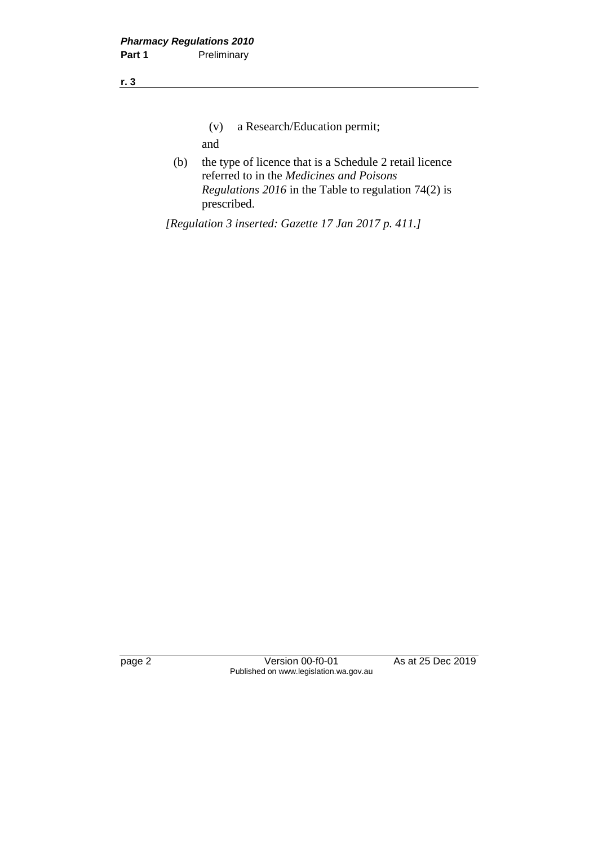- (v) a Research/Education permit; and
- (b) the type of licence that is a Schedule 2 retail licence referred to in the *Medicines and Poisons Regulations 2016* in the Table to regulation 74(2) is prescribed.

*[Regulation 3 inserted: Gazette 17 Jan 2017 p. 411.]*

page 2 Version 00-f0-01 As at 25 Dec 2019 Published on www.legislation.wa.gov.au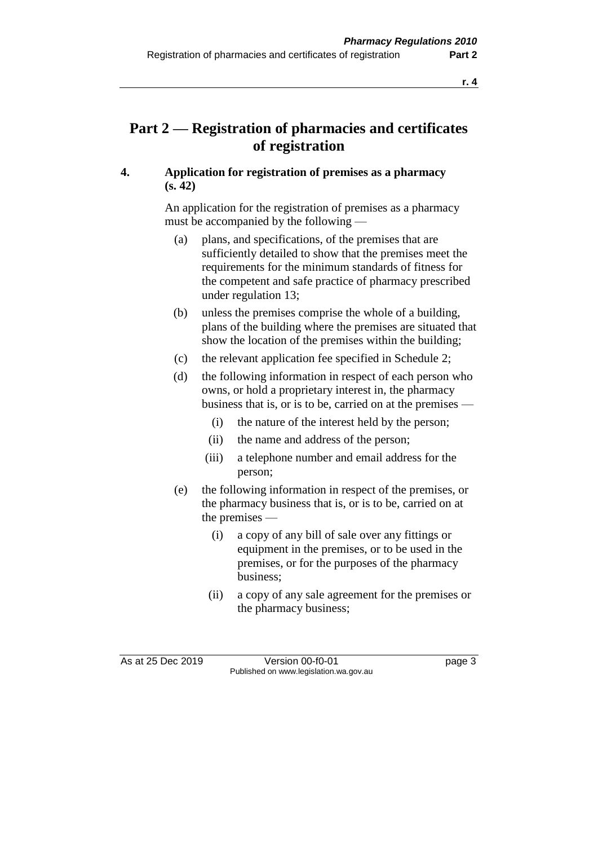## **Part 2 — Registration of pharmacies and certificates of registration**

#### **4. Application for registration of premises as a pharmacy (s. 42)**

An application for the registration of premises as a pharmacy must be accompanied by the following —

- (a) plans, and specifications, of the premises that are sufficiently detailed to show that the premises meet the requirements for the minimum standards of fitness for the competent and safe practice of pharmacy prescribed under regulation 13;
- (b) unless the premises comprise the whole of a building, plans of the building where the premises are situated that show the location of the premises within the building;
- (c) the relevant application fee specified in Schedule 2;
- (d) the following information in respect of each person who owns, or hold a proprietary interest in, the pharmacy business that is, or is to be, carried on at the premises —
	- (i) the nature of the interest held by the person;
	- (ii) the name and address of the person;
	- (iii) a telephone number and email address for the person;
- (e) the following information in respect of the premises, or the pharmacy business that is, or is to be, carried on at the premises —
	- (i) a copy of any bill of sale over any fittings or equipment in the premises, or to be used in the premises, or for the purposes of the pharmacy business;
	- (ii) a copy of any sale agreement for the premises or the pharmacy business;

As at 25 Dec 2019 Version 00-f0-01 page 3 Published on www.legislation.wa.gov.au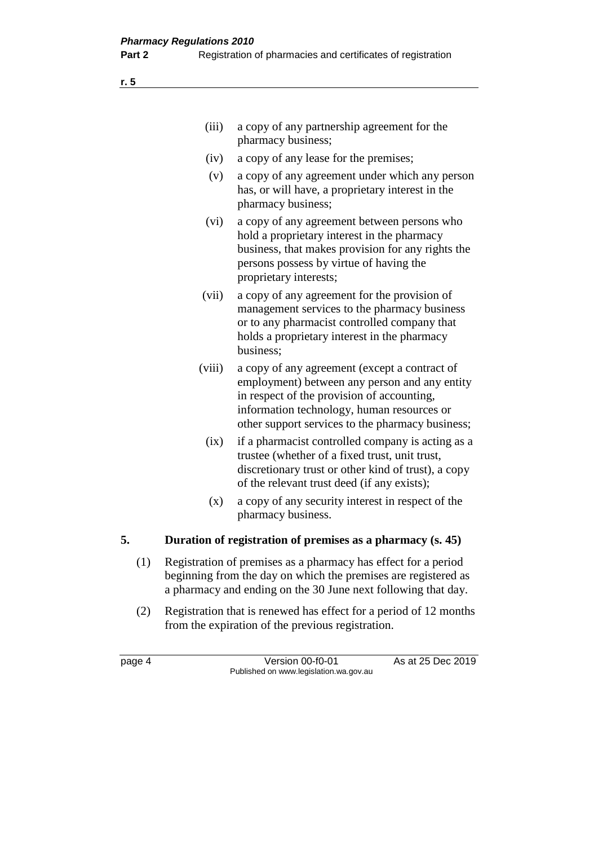| (iii)  | a copy of any partnership agreement for the<br>pharmacy business;                                                                                                                                                                              |
|--------|------------------------------------------------------------------------------------------------------------------------------------------------------------------------------------------------------------------------------------------------|
| (iv)   | a copy of any lease for the premises;                                                                                                                                                                                                          |
| (v)    | a copy of any agreement under which any person<br>has, or will have, a proprietary interest in the<br>pharmacy business;                                                                                                                       |
| (vi)   | a copy of any agreement between persons who<br>hold a proprietary interest in the pharmacy<br>business, that makes provision for any rights the<br>persons possess by virtue of having the<br>proprietary interests;                           |
| (vii)  | a copy of any agreement for the provision of<br>management services to the pharmacy business<br>or to any pharmacist controlled company that<br>holds a proprietary interest in the pharmacy<br>business;                                      |
| (viii) | a copy of any agreement (except a contract of<br>employment) between any person and any entity<br>in respect of the provision of accounting,<br>information technology, human resources or<br>other support services to the pharmacy business; |
| (ix)   | if a pharmacist controlled company is acting as a<br>trustee (whether of a fixed trust, unit trust,<br>discretionary trust or other kind of trust), a copy<br>of the relevant trust deed (if any exists);                                      |
| (x)    | a copy of any security interest in respect of the<br>pharmacy business.                                                                                                                                                                        |

#### **5. Duration of registration of premises as a pharmacy (s. 45)**

- (1) Registration of premises as a pharmacy has effect for a period beginning from the day on which the premises are registered as a pharmacy and ending on the 30 June next following that day.
- (2) Registration that is renewed has effect for a period of 12 months from the expiration of the previous registration.

page 4 Version 00-f0-01 As at 25 Dec 2019 Published on www.legislation.wa.gov.au

**r. 5**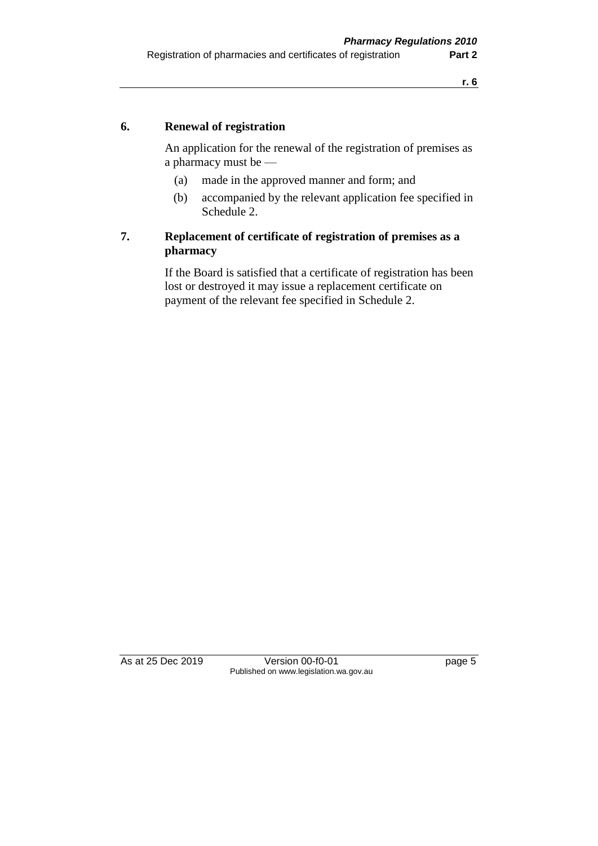#### **6. Renewal of registration**

An application for the renewal of the registration of premises as a pharmacy must be —

- (a) made in the approved manner and form; and
- (b) accompanied by the relevant application fee specified in Schedule 2.

#### **7. Replacement of certificate of registration of premises as a pharmacy**

If the Board is satisfied that a certificate of registration has been lost or destroyed it may issue a replacement certificate on payment of the relevant fee specified in Schedule 2.

As at 25 Dec 2019 Version 00-f0-01 page 5 Published on www.legislation.wa.gov.au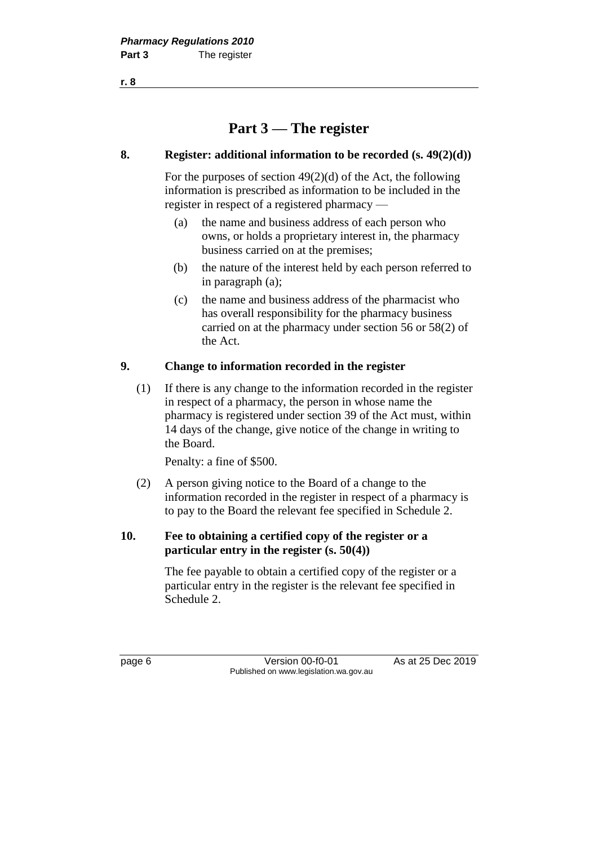**Part 3 — The register**

#### **8. Register: additional information to be recorded (s. 49(2)(d))**

For the purposes of section 49(2)(d) of the Act, the following information is prescribed as information to be included in the register in respect of a registered pharmacy —

- (a) the name and business address of each person who owns, or holds a proprietary interest in, the pharmacy business carried on at the premises;
- (b) the nature of the interest held by each person referred to in paragraph (a);
- (c) the name and business address of the pharmacist who has overall responsibility for the pharmacy business carried on at the pharmacy under section 56 or 58(2) of the Act.

#### **9. Change to information recorded in the register**

(1) If there is any change to the information recorded in the register in respect of a pharmacy, the person in whose name the pharmacy is registered under section 39 of the Act must, within 14 days of the change, give notice of the change in writing to the Board.

Penalty: a fine of \$500.

(2) A person giving notice to the Board of a change to the information recorded in the register in respect of a pharmacy is to pay to the Board the relevant fee specified in Schedule 2.

#### **10. Fee to obtaining a certified copy of the register or a particular entry in the register (s. 50(4))**

The fee payable to obtain a certified copy of the register or a particular entry in the register is the relevant fee specified in Schedule 2.

page 6 Version 00-f0-01 As at 25 Dec 2019 Published on www.legislation.wa.gov.au

**r. 8**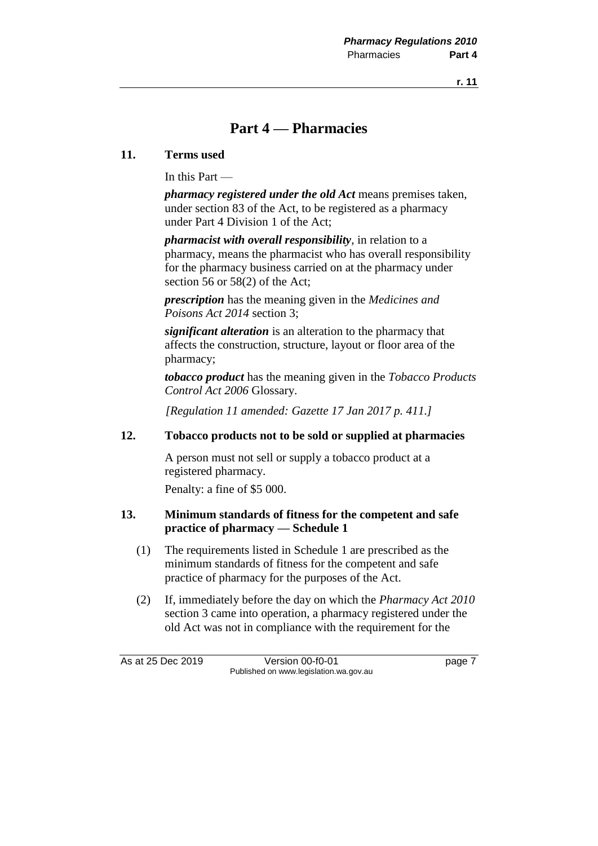## **Part 4 — Pharmacies**

#### **11. Terms used**

In this Part —

*pharmacy registered under the old Act* means premises taken, under section 83 of the Act, to be registered as a pharmacy under Part 4 Division 1 of the Act;

*pharmacist with overall responsibility*, in relation to a pharmacy, means the pharmacist who has overall responsibility for the pharmacy business carried on at the pharmacy under section 56 or 58(2) of the Act;

*prescription* has the meaning given in the *Medicines and Poisons Act 2014* section 3;

*significant alteration* is an alteration to the pharmacy that affects the construction, structure, layout or floor area of the pharmacy;

*tobacco product* has the meaning given in the *Tobacco Products Control Act 2006* Glossary.

*[Regulation 11 amended: Gazette 17 Jan 2017 p. 411.]*

#### **12. Tobacco products not to be sold or supplied at pharmacies**

A person must not sell or supply a tobacco product at a registered pharmacy.

Penalty: a fine of \$5 000.

#### **13. Minimum standards of fitness for the competent and safe practice of pharmacy — Schedule 1**

- (1) The requirements listed in Schedule 1 are prescribed as the minimum standards of fitness for the competent and safe practice of pharmacy for the purposes of the Act.
- (2) If, immediately before the day on which the *Pharmacy Act 2010*  section 3 came into operation, a pharmacy registered under the old Act was not in compliance with the requirement for the

As at 25 Dec 2019 Version 00-f0-01 page 7 Published on www.legislation.wa.gov.au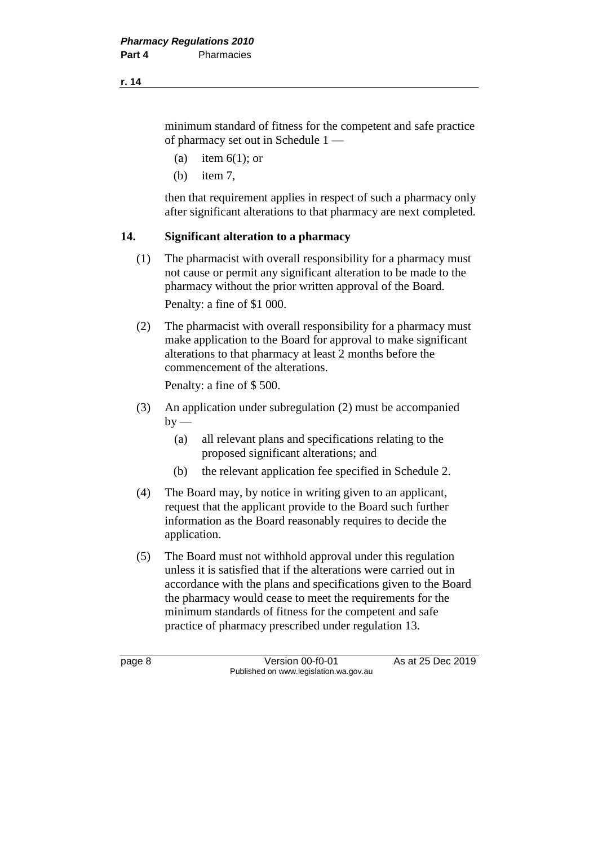minimum standard of fitness for the competent and safe practice of pharmacy set out in Schedule 1 —

- (a) item  $6(1)$ ; or
- (b) item 7,

then that requirement applies in respect of such a pharmacy only after significant alterations to that pharmacy are next completed.

#### **14. Significant alteration to a pharmacy**

(1) The pharmacist with overall responsibility for a pharmacy must not cause or permit any significant alteration to be made to the pharmacy without the prior written approval of the Board.

Penalty: a fine of \$1 000.

(2) The pharmacist with overall responsibility for a pharmacy must make application to the Board for approval to make significant alterations to that pharmacy at least 2 months before the commencement of the alterations.

Penalty: a fine of \$ 500.

- (3) An application under subregulation (2) must be accompanied  $by -$ 
	- (a) all relevant plans and specifications relating to the proposed significant alterations; and
	- (b) the relevant application fee specified in Schedule 2.
- (4) The Board may, by notice in writing given to an applicant, request that the applicant provide to the Board such further information as the Board reasonably requires to decide the application.
- (5) The Board must not withhold approval under this regulation unless it is satisfied that if the alterations were carried out in accordance with the plans and specifications given to the Board the pharmacy would cease to meet the requirements for the minimum standards of fitness for the competent and safe practice of pharmacy prescribed under regulation 13.

page 8 Version 00-f0-01 As at 25 Dec 2019 Published on www.legislation.wa.gov.au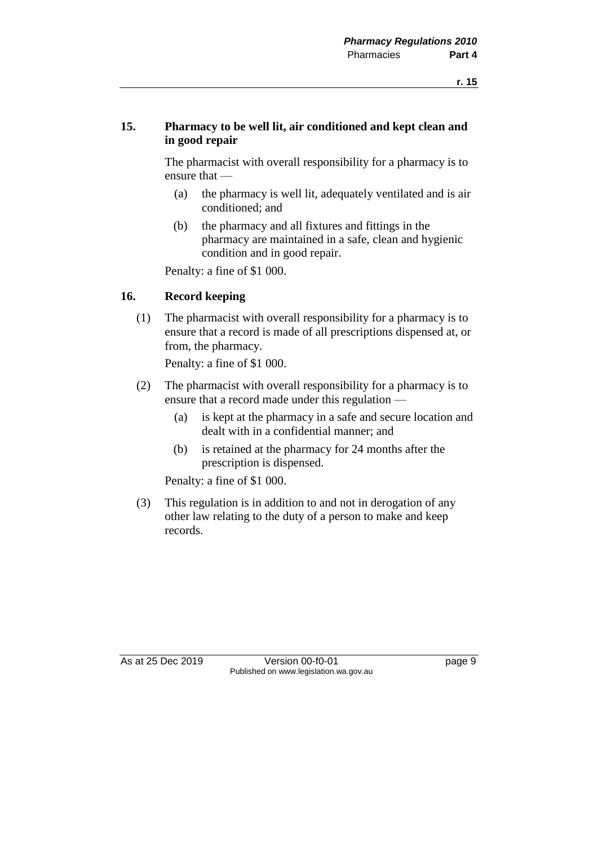#### **15. Pharmacy to be well lit, air conditioned and kept clean and in good repair**

The pharmacist with overall responsibility for a pharmacy is to ensure that —

- (a) the pharmacy is well lit, adequately ventilated and is air conditioned; and
- (b) the pharmacy and all fixtures and fittings in the pharmacy are maintained in a safe, clean and hygienic condition and in good repair.

Penalty: a fine of \$1 000.

#### **16. Record keeping**

(1) The pharmacist with overall responsibility for a pharmacy is to ensure that a record is made of all prescriptions dispensed at, or from, the pharmacy.

Penalty: a fine of \$1 000.

- (2) The pharmacist with overall responsibility for a pharmacy is to ensure that a record made under this regulation —
	- (a) is kept at the pharmacy in a safe and secure location and dealt with in a confidential manner; and
	- (b) is retained at the pharmacy for 24 months after the prescription is dispensed.

Penalty: a fine of \$1 000.

(3) This regulation is in addition to and not in derogation of any other law relating to the duty of a person to make and keep records.

As at 25 Dec 2019 Version 00-f0-01 page 9 Published on www.legislation.wa.gov.au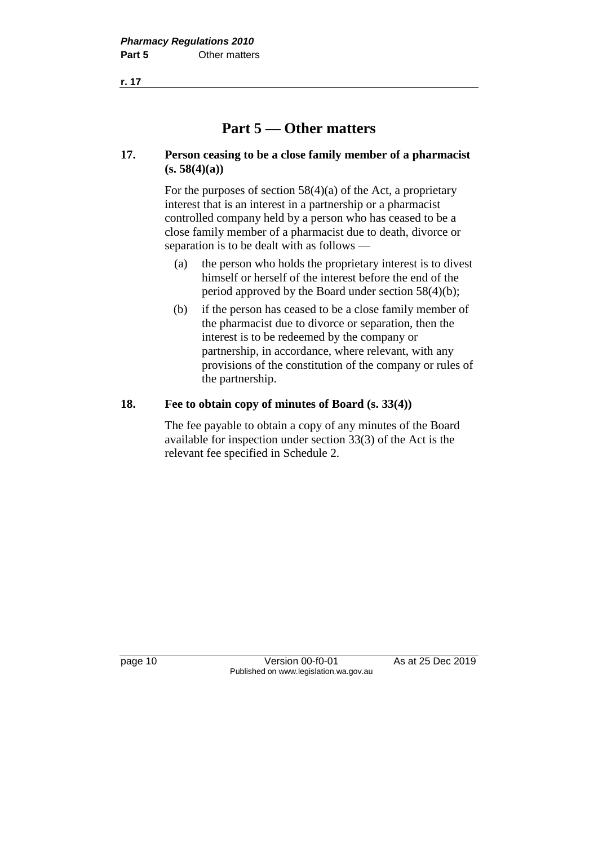# **Part 5 — Other matters**

#### **17. Person ceasing to be a close family member of a pharmacist (s. 58(4)(a))**

For the purposes of section  $58(4)(a)$  of the Act, a proprietary interest that is an interest in a partnership or a pharmacist controlled company held by a person who has ceased to be a close family member of a pharmacist due to death, divorce or separation is to be dealt with as follows —

- (a) the person who holds the proprietary interest is to divest himself or herself of the interest before the end of the period approved by the Board under section 58(4)(b);
- (b) if the person has ceased to be a close family member of the pharmacist due to divorce or separation, then the interest is to be redeemed by the company or partnership, in accordance, where relevant, with any provisions of the constitution of the company or rules of the partnership.

#### **18. Fee to obtain copy of minutes of Board (s. 33(4))**

The fee payable to obtain a copy of any minutes of the Board available for inspection under section 33(3) of the Act is the relevant fee specified in Schedule 2.

page 10 Version 00-f0-01 As at 25 Dec 2019 Published on www.legislation.wa.gov.au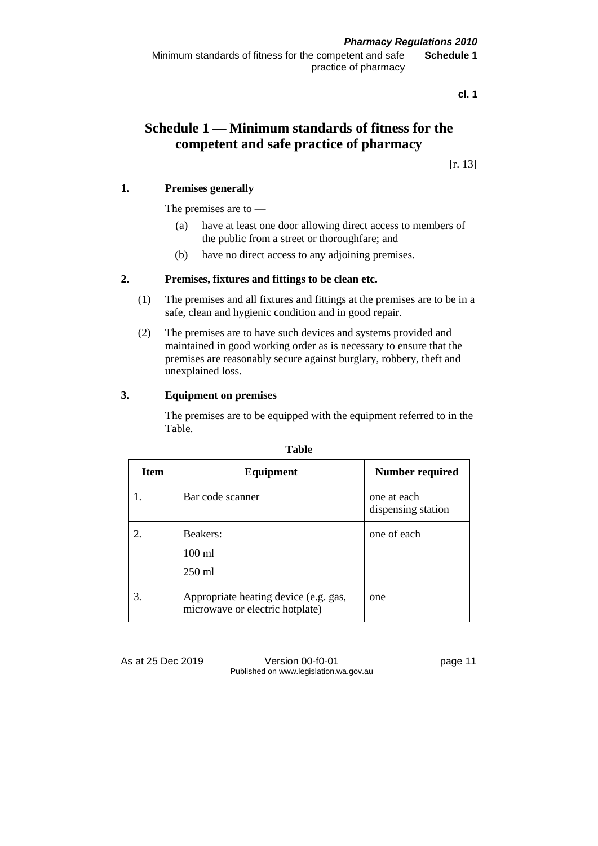Minimum standards of fitness for the competent and safe practice of pharmacy **Schedule 1**

**cl. 1**

## **Schedule 1 — Minimum standards of fitness for the competent and safe practice of pharmacy**

[r. 13]

#### **1. Premises generally**

The premises are to —

- (a) have at least one door allowing direct access to members of the public from a street or thoroughfare; and
- (b) have no direct access to any adjoining premises.

#### **2. Premises, fixtures and fittings to be clean etc.**

- (1) The premises and all fixtures and fittings at the premises are to be in a safe, clean and hygienic condition and in good repair.
- (2) The premises are to have such devices and systems provided and maintained in good working order as is necessary to ensure that the premises are reasonably secure against burglary, robbery, theft and unexplained loss.

#### **3. Equipment on premises**

The premises are to be equipped with the equipment referred to in the Table.

| <b>Item</b> | Equipment                                                                | Number required                   |
|-------------|--------------------------------------------------------------------------|-----------------------------------|
|             | Bar code scanner                                                         | one at each<br>dispensing station |
|             | Beakers:<br>$100$ ml<br>$250$ ml                                         | one of each                       |
| 3.          | Appropriate heating device (e.g. gas,<br>microwave or electric hotplate) | one                               |

#### **Table**

As at 25 Dec 2019 Version 00-f0-01 page 11 Published on www.legislation.wa.gov.au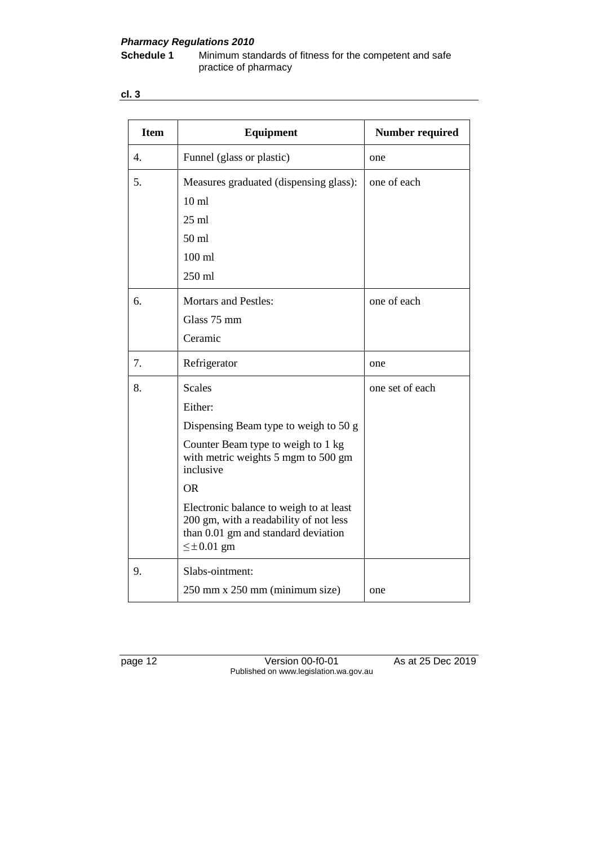# *Pharmacy Regulations 2010*

**Schedule 1** Minimum standards of fitness for the competent and safe practice of pharmacy

**cl. 3**

| <b>Item</b> | <b>Equipment</b>                                                                                                                               | <b>Number required</b> |
|-------------|------------------------------------------------------------------------------------------------------------------------------------------------|------------------------|
| 4.          | Funnel (glass or plastic)                                                                                                                      | one                    |
| 5.          | Measures graduated (dispensing glass):                                                                                                         | one of each            |
|             | $10 \text{ ml}$                                                                                                                                |                        |
|             | $25$ ml                                                                                                                                        |                        |
|             | 50 <sub>ml</sub>                                                                                                                               |                        |
|             | $100$ ml                                                                                                                                       |                        |
|             | 250 ml                                                                                                                                         |                        |
| 6.          | <b>Mortars and Pestles:</b>                                                                                                                    | one of each            |
|             | Glass 75 mm                                                                                                                                    |                        |
|             | Ceramic                                                                                                                                        |                        |
| 7.          | Refrigerator                                                                                                                                   | one                    |
| 8.          | <b>Scales</b>                                                                                                                                  | one set of each        |
|             | Either:                                                                                                                                        |                        |
|             | Dispensing Beam type to weigh to 50 g                                                                                                          |                        |
|             | Counter Beam type to weigh to 1 kg<br>with metric weights 5 mgm to 500 gm<br>inclusive                                                         |                        |
|             | <b>OR</b>                                                                                                                                      |                        |
|             | Electronic balance to weigh to at least<br>200 gm, with a readability of not less<br>than 0.01 gm and standard deviation<br>$\leq \pm 0.01$ gm |                        |
| 9.          | Slabs-ointment:                                                                                                                                |                        |
|             | 250 mm x 250 mm (minimum size)                                                                                                                 | one                    |

page 12 Version 00-f0-01 As at 25 Dec 2019 Published on www.legislation.wa.gov.au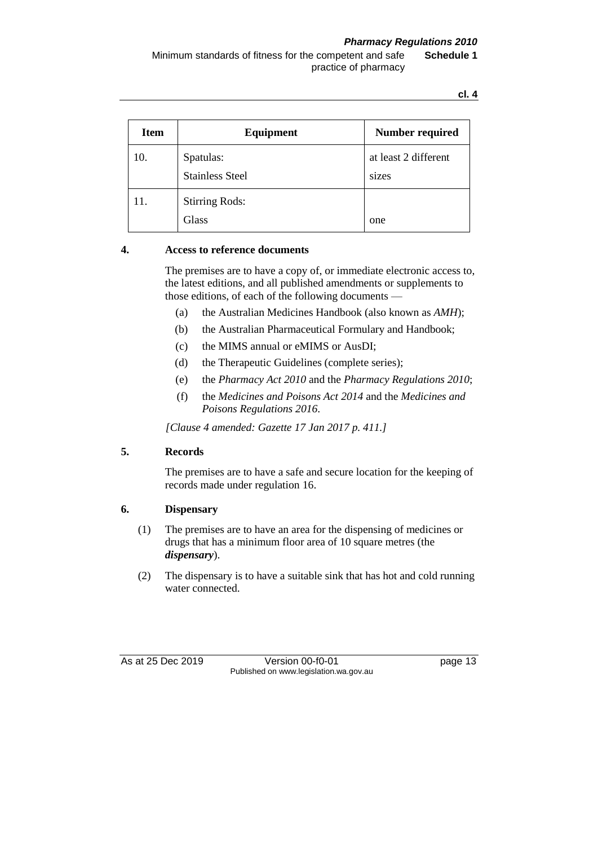#### *Pharmacy Regulations 2010*

Minimum standards of fitness for the competent and safe practice of pharmacy **Schedule 1**

**cl. 4**

| <b>Item</b> | Equipment                           | <b>Number required</b>        |
|-------------|-------------------------------------|-------------------------------|
| 10.         | Spatulas:<br><b>Stainless Steel</b> | at least 2 different<br>sizes |
| 11.         | <b>Stirring Rods:</b><br>Glass      | one                           |

#### **4. Access to reference documents**

The premises are to have a copy of, or immediate electronic access to, the latest editions, and all published amendments or supplements to those editions, of each of the following documents —

- (a) the Australian Medicines Handbook (also known as *AMH*);
- (b) the Australian Pharmaceutical Formulary and Handbook;
- (c) the MIMS annual or eMIMS or AusDI;
- (d) the Therapeutic Guidelines (complete series);
- (e) the *Pharmacy Act 2010* and the *Pharmacy Regulations 2010*;
- (f) the *Medicines and Poisons Act 2014* and the *Medicines and Poisons Regulations 2016*.

*[Clause 4 amended: Gazette 17 Jan 2017 p. 411.]*

#### **5. Records**

The premises are to have a safe and secure location for the keeping of records made under regulation 16.

#### **6. Dispensary**

- (1) The premises are to have an area for the dispensing of medicines or drugs that has a minimum floor area of 10 square metres (the *dispensary*).
- (2) The dispensary is to have a suitable sink that has hot and cold running water connected.

As at 25 Dec 2019 Version 00-f0-01 page 13 Published on www.legislation.wa.gov.au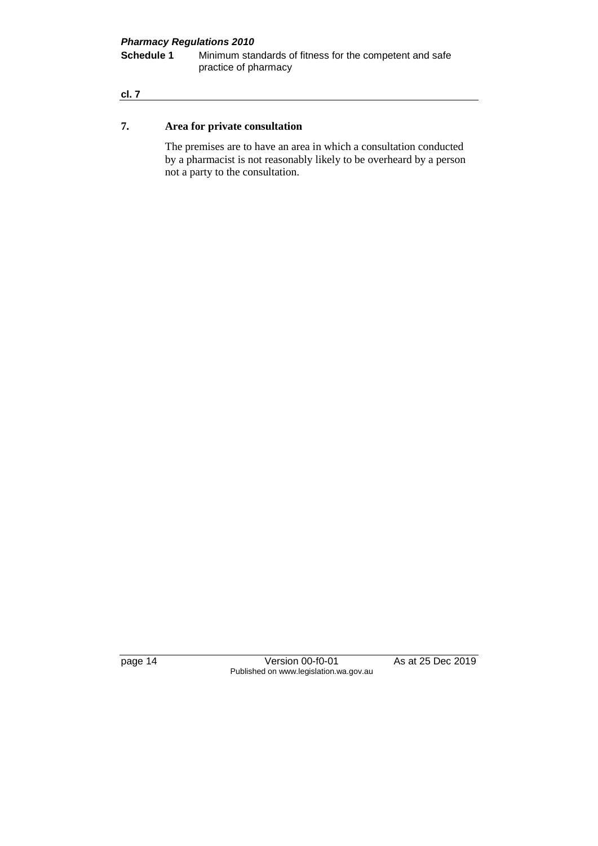# *Pharmacy Regulations 2010*

**Schedule 1** Minimum standards of fitness for the competent and safe practice of pharmacy

#### **cl. 7**

#### **7. Area for private consultation**

The premises are to have an area in which a consultation conducted by a pharmacist is not reasonably likely to be overheard by a person not a party to the consultation.

page 14 Version 00-f0-01 As at 25 Dec 2019 Published on www.legislation.wa.gov.au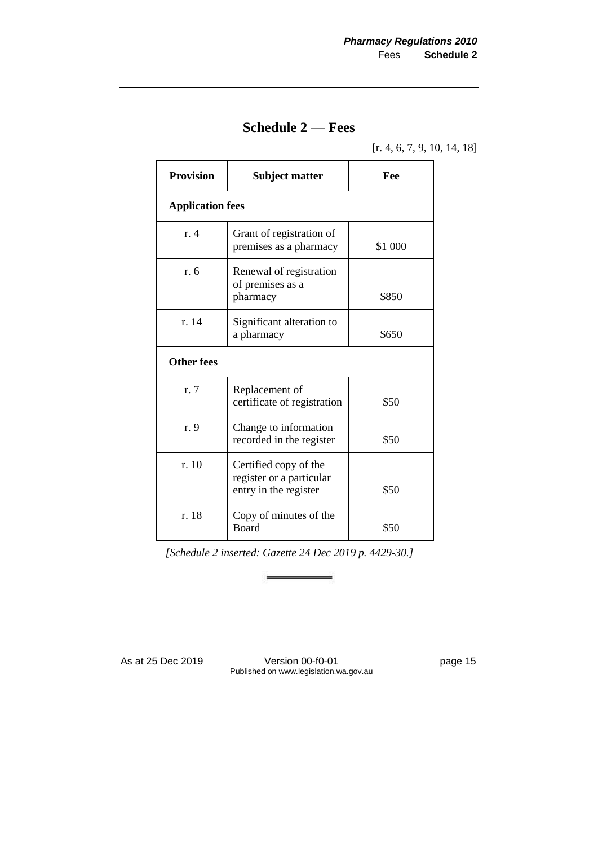### **Schedule 2 — Fees**

[r. 4, 6, 7, 9, 10, 14, 18]

| <b>Provision</b>        | <b>Subject matter</b>                                                      | Fee     |  |
|-------------------------|----------------------------------------------------------------------------|---------|--|
| <b>Application fees</b> |                                                                            |         |  |
| $r_{\rm A}$             | Grant of registration of<br>premises as a pharmacy                         | \$1 000 |  |
| r. 6                    | Renewal of registration<br>of premises as a<br>pharmacy                    | \$850   |  |
| r. 14                   | Significant alteration to<br>a pharmacy                                    | \$650   |  |
| <b>Other fees</b>       |                                                                            |         |  |
| r. 7                    | Replacement of<br>certificate of registration                              | \$50    |  |
| r. 9                    | Change to information<br>recorded in the register                          | \$50    |  |
| r. 10                   | Certified copy of the<br>register or a particular<br>entry in the register | \$50    |  |
| r. 18                   | Copy of minutes of the<br><b>Board</b>                                     | \$50    |  |

*[Schedule 2 inserted: Gazette 24 Dec 2019 p. 4429-30.]*

à.

Ξ

As at 25 Dec 2019 Version 00-f0-01 page 15 Published on www.legislation.wa.gov.au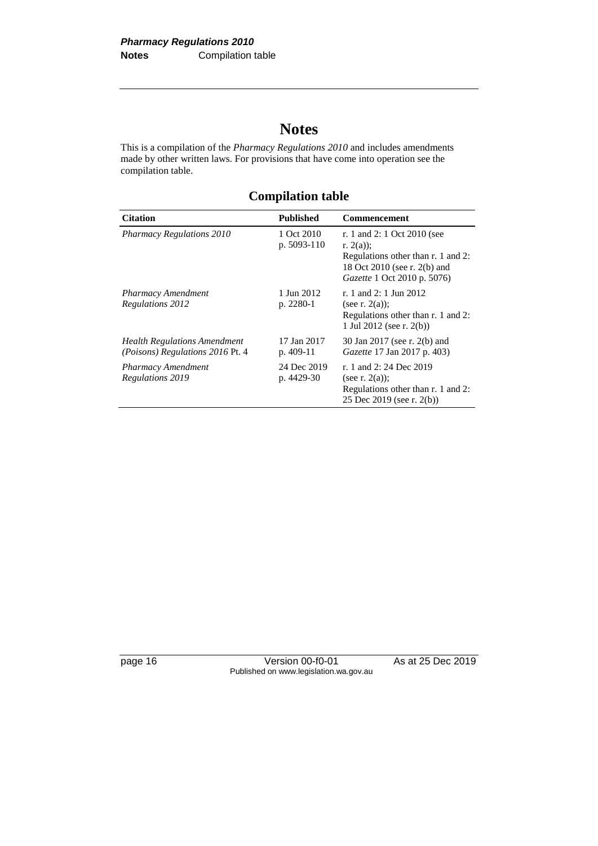# **Notes**

This is a compilation of the *Pharmacy Regulations 2010* and includes amendments made by other written laws. For provisions that have come into operation see the compilation table.

**Compilation table**

| <b>Citation</b>                                                                | Published                   | <b>Commencement</b>                                                                                                                             |
|--------------------------------------------------------------------------------|-----------------------------|-------------------------------------------------------------------------------------------------------------------------------------------------|
| <b>Pharmacy Regulations 2010</b>                                               | 1 Oct 2010<br>p. $5093-110$ | r. 1 and 2: 1 Oct 2010 (see<br>r. $2(a)$ :<br>Regulations other than r. 1 and 2:<br>18 Oct 2010 (see r. 2(b) and<br>Gazette 1 Oct 2010 p. 5076) |
| <b>Pharmacy Amendment</b><br>Regulations 2012                                  | 1 Jun 2012<br>p. 2280-1     | r. 1 and 2: 1 Jun 2012<br>(see r. $2(a)$ );<br>Regulations other than r. 1 and 2:<br>1 Jul 2012 (see r. $2(b)$ )                                |
| <b>Health Regulations Amendment</b><br><i>(Poisons) Regulations 2016 Pt. 4</i> | 17 Jan 2017<br>p. $409-11$  | 30 Jan 2017 (see r. 2(b) and<br><i>Gazette</i> 17 Jan 2017 p. 403)                                                                              |
| <b>Pharmacy Amendment</b><br>Regulations 2019                                  | 24 Dec 2019<br>p. 4429-30   | r. 1 and 2: 24 Dec 2019<br>(see r. $2(a)$ );<br>Regulations other than r. 1 and 2:<br>25 Dec 2019 (see r. 2(b))                                 |

page 16 Version 00-f0-01 As at 25 Dec 2019 Published on www.legislation.wa.gov.au